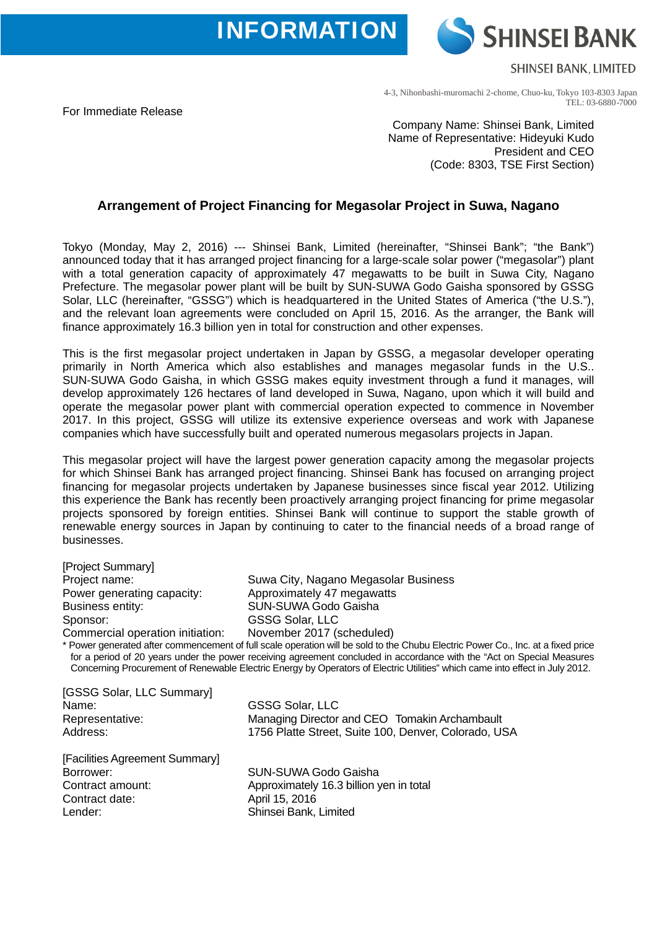**INFORMATION** 

**SHINSEI BANK** 

**SHINSEI BANK, LIMITED** 

4-3, Nihonbashi-muromachi 2-chome, Chuo-ku, Tokyo 103-8303 Japan TEL: 03-6880-7000

For Immediate Release

Company Name: Shinsei Bank, Limited Name of Representative: Hideyuki Kudo President and CEO (Code: 8303, TSE First Section)

## **Arrangement of Project Financing for Megasolar Project in Suwa, Nagano**

Tokyo (Monday, May 2, 2016) --- Shinsei Bank, Limited (hereinafter, "Shinsei Bank"; "the Bank") announced today that it has arranged project financing for a large-scale solar power ("megasolar") plant with a total generation capacity of approximately 47 megawatts to be built in Suwa City, Nagano Prefecture. The megasolar power plant will be built by SUN-SUWA Godo Gaisha sponsored by GSSG Solar, LLC (hereinafter, "GSSG") which is headquartered in the United States of America ("the U.S."), and the relevant loan agreements were concluded on April 15, 2016. As the arranger, the Bank will finance approximately 16.3 billion yen in total for construction and other expenses.

This is the first megasolar project undertaken in Japan by GSSG, a megasolar developer operating primarily in North America which also establishes and manages megasolar funds in the U.S.. SUN-SUWA Godo Gaisha, in which GSSG makes equity investment through a fund it manages, will develop approximately 126 hectares of land developed in Suwa, Nagano, upon which it will build and operate the megasolar power plant with commercial operation expected to commence in November 2017. In this project, GSSG will utilize its extensive experience overseas and work with Japanese companies which have successfully built and operated numerous megasolars projects in Japan.

This megasolar project will have the largest power generation capacity among the megasolar projects for which Shinsei Bank has arranged project financing. Shinsei Bank has focused on arranging project financing for megasolar projects undertaken by Japanese businesses since fiscal year 2012. Utilizing this experience the Bank has recently been proactively arranging project financing for prime megasolar projects sponsored by foreign entities. Shinsei Bank will continue to support the stable growth of renewable energy sources in Japan by continuing to cater to the financial needs of a broad range of businesses.

[Project Summary] Project name: Suwa City, Nagano Megasolar Business Power generating capacity: Approximately 47 megawatts Business entity: SUN-SUWA Godo Gaisha Sponsor: GSSG Solar, LLC Commercial operation initiation: November 2017 (scheduled) \* Power generated after commencement of full scale operation will be sold to the Chubu Electric Power Co., Inc. at a fixed price for a period of 20 years under the power receiving agreement concluded in accordance with the "Act on Special Measures Concerning Procurement of Renewable Electric Energy by Operators of Electric Utilities" which came into effect in July 2012. [GSSG Solar, LLC Summary] Name: GSSG Solar, LLC Representative: Managing Director and CEO Tomakin Archambault<br>Address: 1756 Platte Street, Suite 100, Denver, Colorado, US 1756 Platte Street, Suite 100, Denver, Colorado, USA [Facilities Agreement Summary] Borrower: SUN-SUWA Godo Gaisha Contract amount: Approximately 16.3 billion yen in total Contract date: April 15, 2016

Lender: Shinsei Bank, Limited